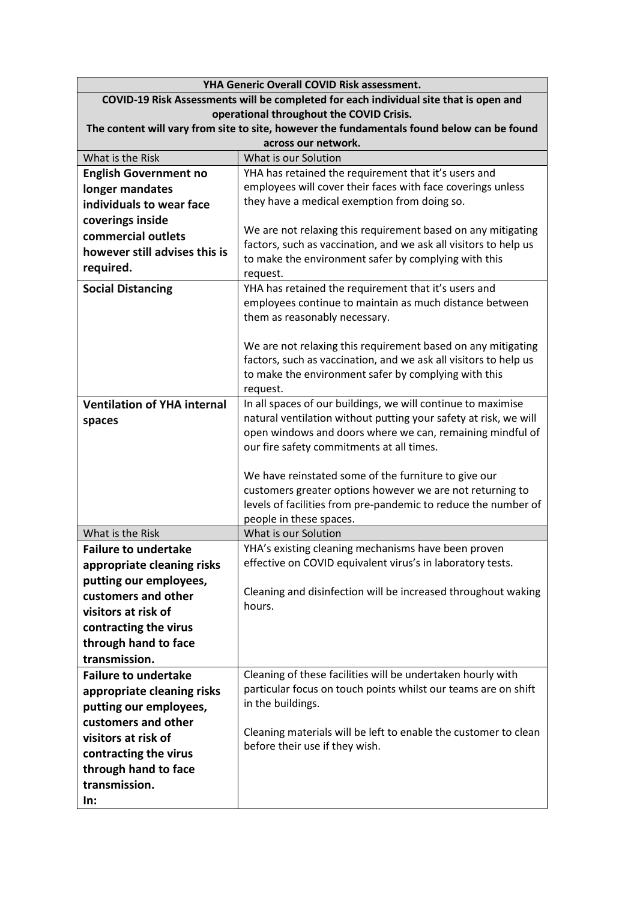| YHA Generic Overall COVID Risk assessment.                                            |                                                                                                                          |  |  |
|---------------------------------------------------------------------------------------|--------------------------------------------------------------------------------------------------------------------------|--|--|
| COVID-19 Risk Assessments will be completed for each individual site that is open and |                                                                                                                          |  |  |
|                                                                                       | operational throughout the COVID Crisis.                                                                                 |  |  |
|                                                                                       | The content will vary from site to site, however the fundamentals found below can be found                               |  |  |
|                                                                                       | across our network.                                                                                                      |  |  |
| What is the Risk                                                                      | What is our Solution                                                                                                     |  |  |
| <b>English Government no</b>                                                          | YHA has retained the requirement that it's users and                                                                     |  |  |
| longer mandates                                                                       | employees will cover their faces with face coverings unless                                                              |  |  |
| individuals to wear face                                                              | they have a medical exemption from doing so.                                                                             |  |  |
| coverings inside                                                                      |                                                                                                                          |  |  |
| commercial outlets                                                                    | We are not relaxing this requirement based on any mitigating                                                             |  |  |
| however still advises this is                                                         | factors, such as vaccination, and we ask all visitors to help us                                                         |  |  |
| required.                                                                             | to make the environment safer by complying with this                                                                     |  |  |
|                                                                                       | request.                                                                                                                 |  |  |
| <b>Social Distancing</b>                                                              | YHA has retained the requirement that it's users and                                                                     |  |  |
|                                                                                       | employees continue to maintain as much distance between                                                                  |  |  |
|                                                                                       | them as reasonably necessary.                                                                                            |  |  |
|                                                                                       |                                                                                                                          |  |  |
|                                                                                       | We are not relaxing this requirement based on any mitigating                                                             |  |  |
|                                                                                       | factors, such as vaccination, and we ask all visitors to help us<br>to make the environment safer by complying with this |  |  |
|                                                                                       | request.                                                                                                                 |  |  |
| <b>Ventilation of YHA internal</b>                                                    | In all spaces of our buildings, we will continue to maximise                                                             |  |  |
|                                                                                       | natural ventilation without putting your safety at risk, we will                                                         |  |  |
| spaces                                                                                | open windows and doors where we can, remaining mindful of                                                                |  |  |
|                                                                                       | our fire safety commitments at all times.                                                                                |  |  |
|                                                                                       |                                                                                                                          |  |  |
|                                                                                       | We have reinstated some of the furniture to give our                                                                     |  |  |
|                                                                                       | customers greater options however we are not returning to                                                                |  |  |
|                                                                                       | levels of facilities from pre-pandemic to reduce the number of                                                           |  |  |
|                                                                                       | people in these spaces.                                                                                                  |  |  |
| What is the Risk                                                                      | What is our Solution                                                                                                     |  |  |
| <b>Failure to undertake</b>                                                           | YHA's existing cleaning mechanisms have been proven                                                                      |  |  |
| appropriate cleaning risks                                                            | effective on COVID equivalent virus's in laboratory tests.                                                               |  |  |
| putting our employees,                                                                |                                                                                                                          |  |  |
| customers and other                                                                   | Cleaning and disinfection will be increased throughout waking                                                            |  |  |
| visitors at risk of                                                                   | hours.                                                                                                                   |  |  |
| contracting the virus                                                                 |                                                                                                                          |  |  |
| through hand to face                                                                  |                                                                                                                          |  |  |
| transmission.                                                                         |                                                                                                                          |  |  |
| <b>Failure to undertake</b>                                                           | Cleaning of these facilities will be undertaken hourly with                                                              |  |  |
| appropriate cleaning risks                                                            | particular focus on touch points whilst our teams are on shift                                                           |  |  |
|                                                                                       | in the buildings.                                                                                                        |  |  |
| putting our employees,                                                                |                                                                                                                          |  |  |
| customers and other                                                                   | Cleaning materials will be left to enable the customer to clean                                                          |  |  |
| visitors at risk of                                                                   | before their use if they wish.                                                                                           |  |  |
| contracting the virus                                                                 |                                                                                                                          |  |  |
| through hand to face                                                                  |                                                                                                                          |  |  |
| transmission.                                                                         |                                                                                                                          |  |  |
| In:                                                                                   |                                                                                                                          |  |  |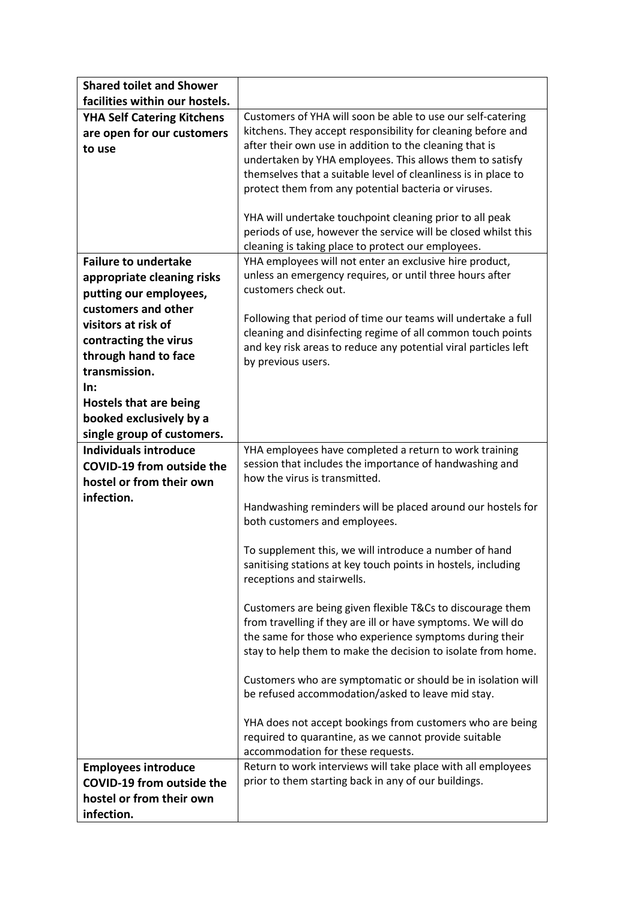| <b>Shared toilet and Shower</b>   |                                                                                                                         |
|-----------------------------------|-------------------------------------------------------------------------------------------------------------------------|
| facilities within our hostels.    |                                                                                                                         |
| <b>YHA Self Catering Kitchens</b> | Customers of YHA will soon be able to use our self-catering                                                             |
| are open for our customers        | kitchens. They accept responsibility for cleaning before and                                                            |
| to use                            | after their own use in addition to the cleaning that is                                                                 |
|                                   | undertaken by YHA employees. This allows them to satisfy                                                                |
|                                   | themselves that a suitable level of cleanliness is in place to                                                          |
|                                   | protect them from any potential bacteria or viruses.                                                                    |
|                                   | YHA will undertake touchpoint cleaning prior to all peak                                                                |
|                                   | periods of use, however the service will be closed whilst this                                                          |
|                                   | cleaning is taking place to protect our employees.                                                                      |
| <b>Failure to undertake</b>       | YHA employees will not enter an exclusive hire product,                                                                 |
| appropriate cleaning risks        | unless an emergency requires, or until three hours after                                                                |
| putting our employees,            | customers check out.                                                                                                    |
| customers and other               |                                                                                                                         |
| visitors at risk of               | Following that period of time our teams will undertake a full                                                           |
| contracting the virus             | cleaning and disinfecting regime of all common touch points                                                             |
| through hand to face              | and key risk areas to reduce any potential viral particles left<br>by previous users.                                   |
| transmission.                     |                                                                                                                         |
| In:                               |                                                                                                                         |
| <b>Hostels that are being</b>     |                                                                                                                         |
| booked exclusively by a           |                                                                                                                         |
| single group of customers.        |                                                                                                                         |
| <b>Individuals introduce</b>      | YHA employees have completed a return to work training                                                                  |
| <b>COVID-19 from outside the</b>  | session that includes the importance of handwashing and                                                                 |
| hostel or from their own          | how the virus is transmitted.                                                                                           |
| infection.                        |                                                                                                                         |
|                                   | Handwashing reminders will be placed around our hostels for<br>both customers and employees.                            |
|                                   |                                                                                                                         |
|                                   | To supplement this, we will introduce a number of hand                                                                  |
|                                   | sanitising stations at key touch points in hostels, including                                                           |
|                                   | receptions and stairwells.                                                                                              |
|                                   |                                                                                                                         |
|                                   | Customers are being given flexible T&Cs to discourage them                                                              |
|                                   | from travelling if they are ill or have symptoms. We will do<br>the same for those who experience symptoms during their |
|                                   | stay to help them to make the decision to isolate from home.                                                            |
|                                   |                                                                                                                         |
|                                   | Customers who are symptomatic or should be in isolation will                                                            |
|                                   | be refused accommodation/asked to leave mid stay.                                                                       |
|                                   |                                                                                                                         |
|                                   | YHA does not accept bookings from customers who are being                                                               |
|                                   | required to quarantine, as we cannot provide suitable                                                                   |
|                                   | accommodation for these requests.                                                                                       |
| <b>Employees introduce</b>        | Return to work interviews will take place with all employees<br>prior to them starting back in any of our buildings.    |
| <b>COVID-19 from outside the</b>  |                                                                                                                         |
| hostel or from their own          |                                                                                                                         |
| infection.                        |                                                                                                                         |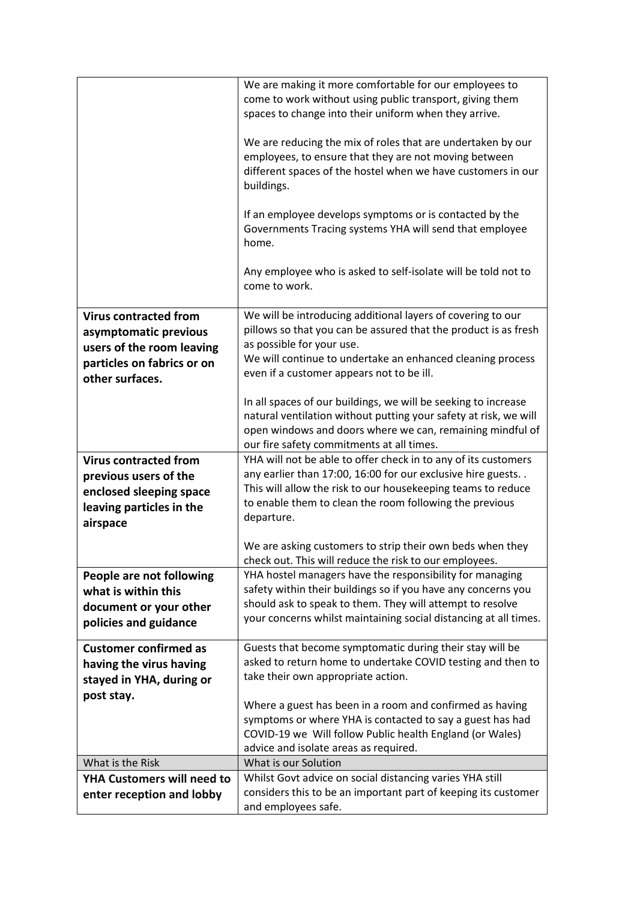|                                   | We are making it more comfortable for our employees to           |
|-----------------------------------|------------------------------------------------------------------|
|                                   | come to work without using public transport, giving them         |
|                                   | spaces to change into their uniform when they arrive.            |
|                                   |                                                                  |
|                                   | We are reducing the mix of roles that are undertaken by our      |
|                                   | employees, to ensure that they are not moving between            |
|                                   | different spaces of the hostel when we have customers in our     |
|                                   | buildings.                                                       |
|                                   |                                                                  |
|                                   | If an employee develops symptoms or is contacted by the          |
|                                   | Governments Tracing systems YHA will send that employee          |
|                                   | home.                                                            |
|                                   |                                                                  |
|                                   | Any employee who is asked to self-isolate will be told not to    |
|                                   | come to work.                                                    |
|                                   |                                                                  |
| <b>Virus contracted from</b>      | We will be introducing additional layers of covering to our      |
| asymptomatic previous             | pillows so that you can be assured that the product is as fresh  |
|                                   | as possible for your use.                                        |
| users of the room leaving         | We will continue to undertake an enhanced cleaning process       |
| particles on fabrics or on        | even if a customer appears not to be ill.                        |
| other surfaces.                   |                                                                  |
|                                   | In all spaces of our buildings, we will be seeking to increase   |
|                                   | natural ventilation without putting your safety at risk, we will |
|                                   | open windows and doors where we can, remaining mindful of        |
|                                   | our fire safety commitments at all times.                        |
| <b>Virus contracted from</b>      | YHA will not be able to offer check in to any of its customers   |
|                                   | any earlier than 17:00, 16:00 for our exclusive hire guests      |
| previous users of the             | This will allow the risk to our housekeeping teams to reduce     |
| enclosed sleeping space           | to enable them to clean the room following the previous          |
| leaving particles in the          | departure.                                                       |
| airspace                          |                                                                  |
|                                   | We are asking customers to strip their own beds when they        |
|                                   | check out. This will reduce the risk to our employees.           |
|                                   | YHA hostel managers have the responsibility for managing         |
| People are not following          | safety within their buildings so if you have any concerns you    |
| what is within this               | should ask to speak to them. They will attempt to resolve        |
| document or your other            | your concerns whilst maintaining social distancing at all times. |
| policies and guidance             |                                                                  |
| <b>Customer confirmed as</b>      | Guests that become symptomatic during their stay will be         |
| having the virus having           | asked to return home to undertake COVID testing and then to      |
|                                   | take their own appropriate action.                               |
| stayed in YHA, during or          |                                                                  |
| post stay.                        | Where a guest has been in a room and confirmed as having         |
|                                   | symptoms or where YHA is contacted to say a guest has had        |
|                                   | COVID-19 we Will follow Public health England (or Wales)         |
|                                   | advice and isolate areas as required.                            |
| What is the Risk                  | What is our Solution                                             |
| <b>YHA Customers will need to</b> | Whilst Govt advice on social distancing varies YHA still         |
| enter reception and lobby         | considers this to be an important part of keeping its customer   |
|                                   | and employees safe.                                              |
|                                   |                                                                  |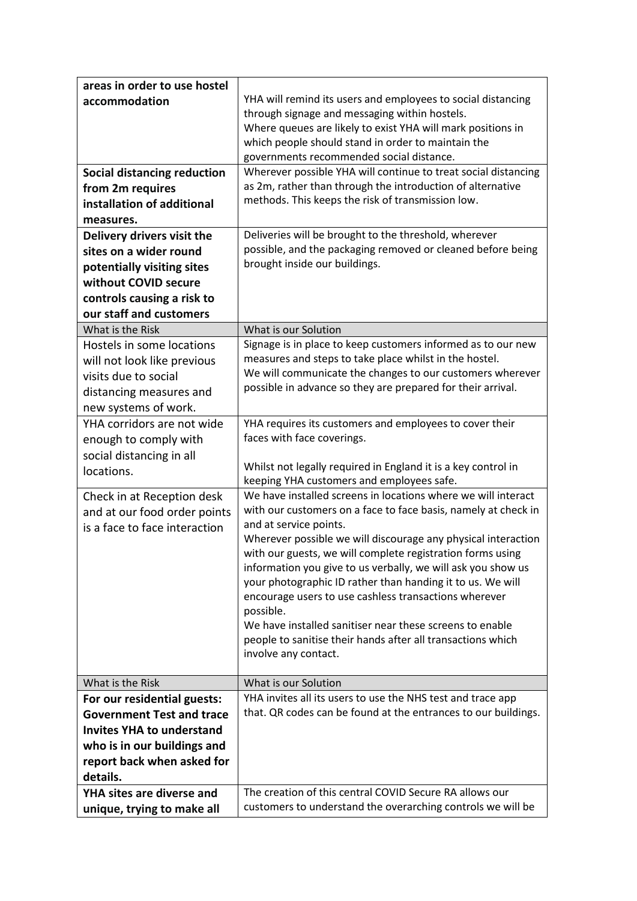| areas in order to use hostel       |                                                                                                                            |
|------------------------------------|----------------------------------------------------------------------------------------------------------------------------|
| accommodation                      | YHA will remind its users and employees to social distancing                                                               |
|                                    | through signage and messaging within hostels.                                                                              |
|                                    | Where queues are likely to exist YHA will mark positions in                                                                |
|                                    | which people should stand in order to maintain the                                                                         |
|                                    | governments recommended social distance.                                                                                   |
| <b>Social distancing reduction</b> | Wherever possible YHA will continue to treat social distancing                                                             |
| from 2m requires                   | as 2m, rather than through the introduction of alternative                                                                 |
| installation of additional         | methods. This keeps the risk of transmission low.                                                                          |
| measures.                          |                                                                                                                            |
| Delivery drivers visit the         | Deliveries will be brought to the threshold, wherever                                                                      |
| sites on a wider round             | possible, and the packaging removed or cleaned before being                                                                |
| potentially visiting sites         | brought inside our buildings.                                                                                              |
| without COVID secure               |                                                                                                                            |
| controls causing a risk to         |                                                                                                                            |
| our staff and customers            |                                                                                                                            |
| What is the Risk                   | What is our Solution                                                                                                       |
| Hostels in some locations          | Signage is in place to keep customers informed as to our new                                                               |
| will not look like previous        | measures and steps to take place whilst in the hostel.                                                                     |
| visits due to social               | We will communicate the changes to our customers wherever                                                                  |
| distancing measures and            | possible in advance so they are prepared for their arrival.                                                                |
| new systems of work.               |                                                                                                                            |
| YHA corridors are not wide         | YHA requires its customers and employees to cover their                                                                    |
| enough to comply with              | faces with face coverings.                                                                                                 |
| social distancing in all           |                                                                                                                            |
| locations.                         | Whilst not legally required in England it is a key control in                                                              |
|                                    | keeping YHA customers and employees safe.                                                                                  |
| Check in at Reception desk         | We have installed screens in locations where we will interact                                                              |
| and at our food order points       | with our customers on a face to face basis, namely at check in                                                             |
| is a face to face interaction      | and at service points.                                                                                                     |
|                                    | Wherever possible we will discourage any physical interaction                                                              |
|                                    | with our guests, we will complete registration forms using<br>information you give to us verbally, we will ask you show us |
|                                    | your photographic ID rather than handing it to us. We will                                                                 |
|                                    | encourage users to use cashless transactions wherever                                                                      |
|                                    | possible.                                                                                                                  |
|                                    | We have installed sanitiser near these screens to enable                                                                   |
|                                    | people to sanitise their hands after all transactions which                                                                |
|                                    | involve any contact.                                                                                                       |
|                                    |                                                                                                                            |
| What is the Risk                   | What is our Solution                                                                                                       |
| For our residential guests:        | YHA invites all its users to use the NHS test and trace app                                                                |
| <b>Government Test and trace</b>   | that. QR codes can be found at the entrances to our buildings.                                                             |
| <b>Invites YHA to understand</b>   |                                                                                                                            |
| who is in our buildings and        |                                                                                                                            |
| report back when asked for         |                                                                                                                            |
| details.                           |                                                                                                                            |
| <b>YHA sites are diverse and</b>   | The creation of this central COVID Secure RA allows our                                                                    |
| unique, trying to make all         | customers to understand the overarching controls we will be                                                                |